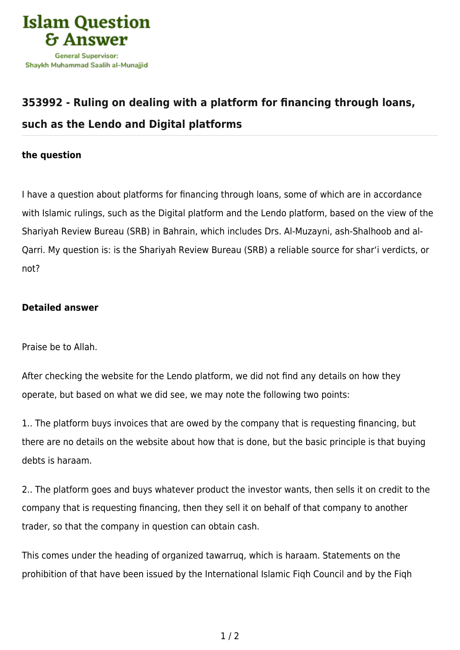

## **[353992 - Ruling on dealing with a platform for financing through loans,](https://islamqa.com/en/answers/353992/ruling-on-dealing-with-a-platform-for-financing-through-loans-such-as-the-lendo-and-digital-platforms) [such as the Lendo and Digital platforms](https://islamqa.com/en/answers/353992/ruling-on-dealing-with-a-platform-for-financing-through-loans-such-as-the-lendo-and-digital-platforms)**

## **the question**

I have a question about platforms for financing through loans, some of which are in accordance with Islamic rulings, such as the Digital platform and the Lendo platform, based on the view of the Shariyah Review Bureau (SRB) in Bahrain, which includes Drs. Al-Muzayni, ash-Shalhoob and al-Qarri. My question is: is the Shariyah Review Bureau (SRB) a reliable source for shar'i verdicts, or not?

## **Detailed answer**

Praise be to Allah.

After checking the website for the Lendo platform, we did not find any details on how they operate, but based on what we did see, we may note the following two points:

1.. The platform buys invoices that are owed by the company that is requesting financing, but there are no details on the website about how that is done, but the basic principle is that buying debts is haraam.

2.. The platform goes and buys whatever product the investor wants, then sells it on credit to the company that is requesting financing, then they sell it on behalf of that company to another trader, so that the company in question can obtain cash.

This comes under the heading of organized tawarruq, which is haraam. Statements on the prohibition of that have been issued by the International Islamic Fiqh Council and by the Fiqh